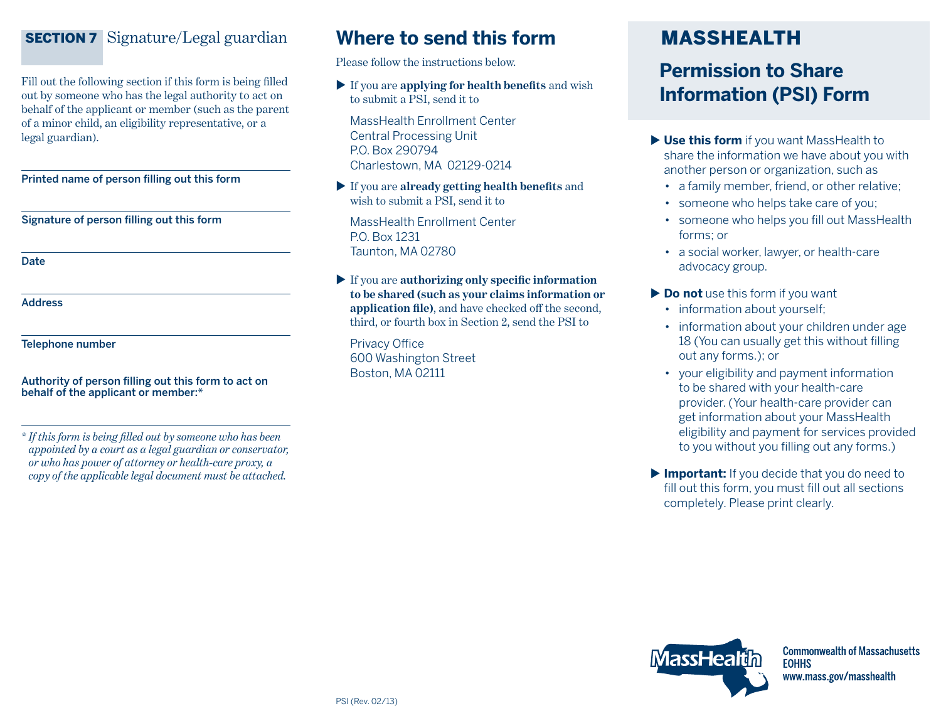## SECTION 7Signature/Legal guardian

Fill out the following section if this form is being filled out by someone who has the legal authority to act on behalf of the applicant or member (such as the parent of a minor child, an eligibility representative, or a legal guardian).

Printed name of person filling out this form

Signature of person filling out this form

Date

Address

Telephone number

Authority of person filling out this form to act on behalf of the applicant or member:\*

\* *If this form is being filled out by someone who has been appointed by a court as a legal guardian or conservator, or who has power of attorney or health-care proxy, a copy of the applicable legal document must be attached.*

# **Where to send this form** MASSHEALTH

Please follow the instructions below.

 If you are **applying for health benefits** and wish to submit a PSI, send it to

MassHealth Enrollment Center Central Processing Unit P.O. Box 290794 Charlestown, MA 02129-0214

 If you are **already getting health benefits** and wish to submit a PSI, send it to

MassHealth Enrollment Center P.O. Box 1231 Taunton, MA 02780

 If you are **authorizing only specific information to be shared (such as your claims information or application file)**, and have checked off the second, third, or fourth box in Section 2, send the PSI to

Privacy Office 600 Washington Street Boston, MA 02111

# **Permission to Share Information (PSI) Form**

- ▶ Use this form if you want MassHealth to share the information we have about you with another person or organization, such as
	- a family member, friend, or other relative;
	- someone who helps take care of you;
	- • someone who helps you fill out MassHealth forms; or
	- • a social worker, lawyer, or health-care advocacy group.
- **Do not** use this form if you want
	- information about vourself:
	- information about your children under age 18 (You can usually get this without filling out any forms.); or
	- • your eligibility and payment information to be shared with your health-care provider.(Your health-care provider can get information about your MassHealth eligibility and payment for services provided to you without you filling out any forms.)
- **Important:** If you decide that you do need to fill out this form, you must fill out all sections completely. Please print clearly.



**Commonwealth of Massachusetts EOHHS** www.mass.gov/masshealth